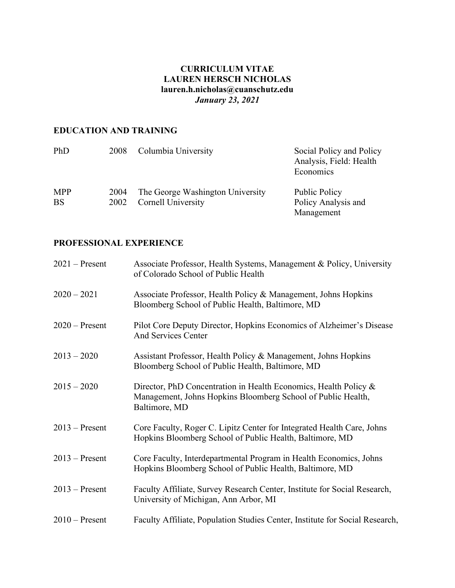# **CURRICULUM VITAE LAUREN HERSCH NICHOLAS lauren.h.nicholas@cuanschutz.edu** *January 23, 2021*

# **EDUCATION AND TRAINING**

| PhD                     | 2008         | Columbia University                                           | Social Policy and Policy<br>Analysis, Field: Health<br>Economics |
|-------------------------|--------------|---------------------------------------------------------------|------------------------------------------------------------------|
| <b>MPP</b><br><b>BS</b> | 2004<br>2002 | The George Washington University<br><b>Cornell University</b> | Public Policy<br>Policy Analysis and<br>Management               |

# **PROFESSIONAL EXPERIENCE**

| $2021$ – Present | Associate Professor, Health Systems, Management & Policy, University<br>of Colorado School of Public Health                                       |
|------------------|---------------------------------------------------------------------------------------------------------------------------------------------------|
| $2020 - 2021$    | Associate Professor, Health Policy & Management, Johns Hopkins<br>Bloomberg School of Public Health, Baltimore, MD                                |
| $2020$ – Present | Pilot Core Deputy Director, Hopkins Economics of Alzheimer's Disease<br><b>And Services Center</b>                                                |
| $2013 - 2020$    | Assistant Professor, Health Policy & Management, Johns Hopkins<br>Bloomberg School of Public Health, Baltimore, MD                                |
| $2015 - 2020$    | Director, PhD Concentration in Health Economics, Health Policy &<br>Management, Johns Hopkins Bloomberg School of Public Health,<br>Baltimore, MD |
| $2013$ – Present | Core Faculty, Roger C. Lipitz Center for Integrated Health Care, Johns<br>Hopkins Bloomberg School of Public Health, Baltimore, MD                |
| $2013$ – Present | Core Faculty, Interdepartmental Program in Health Economics, Johns<br>Hopkins Bloomberg School of Public Health, Baltimore, MD                    |
| $2013$ – Present | Faculty Affiliate, Survey Research Center, Institute for Social Research,<br>University of Michigan, Ann Arbor, MI                                |
| $2010$ – Present | Faculty Affiliate, Population Studies Center, Institute for Social Research,                                                                      |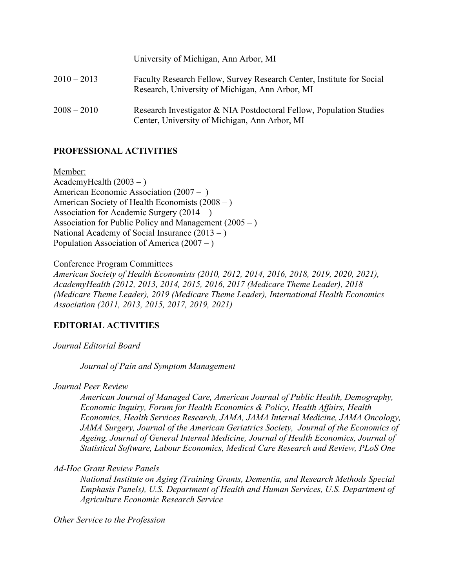|               | University of Michigan, Ann Arbor, MI                                                                                    |  |
|---------------|--------------------------------------------------------------------------------------------------------------------------|--|
| $2010 - 2013$ | Faculty Research Fellow, Survey Research Center, Institute for Social<br>Research, University of Michigan, Ann Arbor, MI |  |
| $2008 - 2010$ | Research Investigator & NIA Postdoctoral Fellow, Population Studies<br>Center, University of Michigan, Ann Arbor, MI     |  |

# **PROFESSIONAL ACTIVITIES**

Member: AcademyHealth  $(2003 - )$ American Economic Association (2007 – ) American Society of Health Economists (2008 – ) Association for Academic Surgery (2014 – ) Association for Public Policy and Management (2005 – ) National Academy of Social Insurance  $(2013 - )$ Population Association of America  $(2007 - )$ 

Conference Program Committees

*American Society of Health Economists (2010, 2012, 2014, 2016, 2018, 2019, 2020, 2021), AcademyHealth (2012, 2013, 2014, 2015, 2016, 2017 (Medicare Theme Leader), 2018 (Medicare Theme Leader), 2019 (Medicare Theme Leader), International Health Economics Association (2011, 2013, 2015, 2017, 2019, 2021)*

### **EDITORIAL ACTIVITIES**

*Journal Editorial Board*

*Journal of Pain and Symptom Management* 

*Journal Peer Review*

*American Journal of Managed Care, American Journal of Public Health, Demography, Economic Inquiry, Forum for Health Economics & Policy, Health Affairs, Health Economics, Health Services Research, JAMA, JAMA Internal Medicine, JAMA Oncology, JAMA Surgery, Journal of the American Geriatrics Society, Journal of the Economics of Ageing, Journal of General Internal Medicine, Journal of Health Economics, Journal of Statistical Software, Labour Economics, Medical Care Research and Review, PLoS One*

*Ad-Hoc Grant Review Panels*

*National Institute on Aging (Training Grants, Dementia, and Research Methods Special Emphasis Panels), U.S. Department of Health and Human Services, U.S. Department of Agriculture Economic Research Service*

*Other Service to the Profession*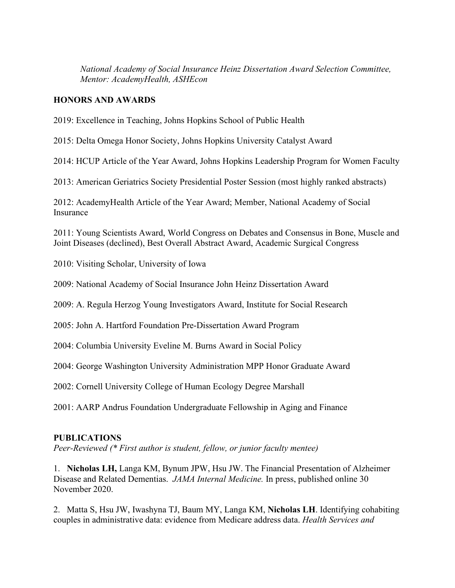*National Academy of Social Insurance Heinz Dissertation Award Selection Committee, Mentor: AcademyHealth, ASHEcon*

# **HONORS AND AWARDS**

2019: Excellence in Teaching, Johns Hopkins School of Public Health

2015: Delta Omega Honor Society, Johns Hopkins University Catalyst Award

2014: HCUP Article of the Year Award, Johns Hopkins Leadership Program for Women Faculty

2013: American Geriatrics Society Presidential Poster Session (most highly ranked abstracts)

2012: AcademyHealth Article of the Year Award; Member, National Academy of Social Insurance

2011: Young Scientists Award, World Congress on Debates and Consensus in Bone, Muscle and Joint Diseases (declined), Best Overall Abstract Award, Academic Surgical Congress

2010: Visiting Scholar, University of Iowa

2009: National Academy of Social Insurance John Heinz Dissertation Award

2009: A. Regula Herzog Young Investigators Award, Institute for Social Research

2005: John A. Hartford Foundation Pre-Dissertation Award Program

2004: Columbia University Eveline M. Burns Award in Social Policy

2004: George Washington University Administration MPP Honor Graduate Award

2002: Cornell University College of Human Ecology Degree Marshall

2001: AARP Andrus Foundation Undergraduate Fellowship in Aging and Finance

### **PUBLICATIONS**

*Peer-Reviewed (\* First author is student, fellow, or junior faculty mentee)*

1. **Nicholas LH,** Langa KM, Bynum JPW, Hsu JW. The Financial Presentation of Alzheimer Disease and Related Dementias. *JAMA Internal Medicine.* In press, published online 30 November 2020.

2. Matta S, Hsu JW, Iwashyna TJ, Baum MY, Langa KM, **Nicholas LH**. Identifying cohabiting couples in administrative data: evidence from Medicare address data. *Health Services and*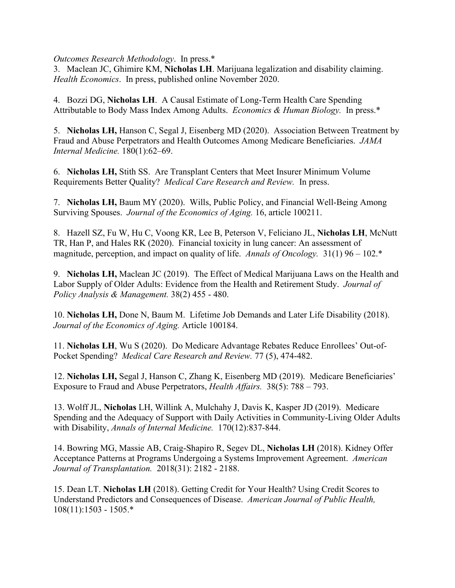*Outcomes Research Methodology*. In press.\*

3. Maclean JC, Ghimire KM, **Nicholas LH**. Marijuana legalization and disability claiming. *Health Economics*. In press, published online November 2020.

4. Bozzi DG, **Nicholas LH**. A Causal Estimate of Long-Term Health Care Spending Attributable to Body Mass Index Among Adults. *Economics & Human Biology.* In press.\*

5. **Nicholas LH,** Hanson C, Segal J, Eisenberg MD (2020). Association Between Treatment by Fraud and Abuse Perpetrators and Health Outcomes Among Medicare Beneficiaries. *JAMA Internal Medicine.* 180(1):62–69.

6. **Nicholas LH,** Stith SS. Are Transplant Centers that Meet Insurer Minimum Volume Requirements Better Quality? *Medical Care Research and Review.* In press.

7. **Nicholas LH,** Baum MY (2020). Wills, Public Policy, and Financial Well-Being Among Surviving Spouses. *Journal of the Economics of Aging.* 16, article 100211.

8. Hazell SZ, Fu W, Hu C, Voong KR, Lee B, Peterson V, Feliciano JL, **Nicholas LH**, McNutt TR, Han P, and Hales RK (2020). Financial toxicity in lung cancer: An assessment of magnitude, perception, and impact on quality of life. *Annals of Oncology.* 31(1) 96 – 102.\*

9. **Nicholas LH,** Maclean JC (2019). The Effect of Medical Marijuana Laws on the Health and Labor Supply of Older Adults: Evidence from the Health and Retirement Study. *Journal of Policy Analysis & Management.* 38(2) 455 - 480.

10. **Nicholas LH,** Done N, Baum M. Lifetime Job Demands and Later Life Disability (2018). *Journal of the Economics of Aging.* Article 100184.

11. **Nicholas LH**, Wu S (2020). Do Medicare Advantage Rebates Reduce Enrollees' Out-of-Pocket Spending? *Medical Care Research and Review.* 77 (5), 474-482.

12. **Nicholas LH,** Segal J, Hanson C, Zhang K, Eisenberg MD (2019). Medicare Beneficiaries' Exposure to Fraud and Abuse Perpetrators, *Health Affairs.* 38(5): 788 – 793.

13. Wolff JL, **Nicholas** LH, Willink A, Mulchahy J, Davis K, Kasper JD (2019). Medicare Spending and the Adequacy of Support with Daily Activities in Community-Living Older Adults with Disability, *Annals of Internal Medicine.* 170(12):837-844.

14. Bowring MG, Massie AB, Craig-Shapiro R, Segev DL, **Nicholas LH** (2018). Kidney Offer Acceptance Patterns at Programs Undergoing a Systems Improvement Agreement. *American Journal of Transplantation.* 2018(31): 2182 - 2188.

15. Dean LT. **Nicholas LH** (2018). Getting Credit for Your Health? Using Credit Scores to Understand Predictors and Consequences of Disease. *American Journal of Public Health,*  108(11):1503 - 1505.\*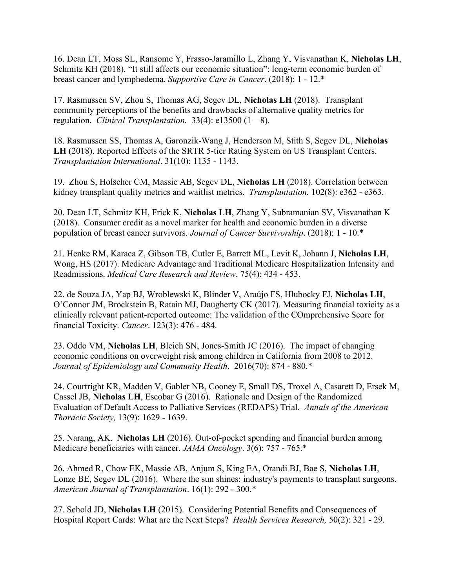16. Dean LT, Moss SL, Ransome Y, Frasso-Jaramillo L, Zhang Y, Visvanathan K, **Nicholas LH**, Schmitz KH (2018). "It still affects our economic situation": long-term economic burden of breast cancer and lymphedema. *Supportive Care in Cancer*. (2018): 1 - 12.\*

17. Rasmussen SV, Zhou S, Thomas AG, Segev DL, **Nicholas LH** (2018). Transplant community perceptions of the benefits and drawbacks of alternative quality metrics for regulation. *Clinical Transplantation.* 33(4): e13500 (1 – 8).

18. Rasmussen SS, Thomas A, Garonzik-Wang J, Henderson M, Stith S, Segev DL, **Nicholas LH** (2018). Reported Effects of the SRTR 5-tier Rating System on US Transplant Centers. *Transplantation International*. 31(10): 1135 - 1143.

19. Zhou S, Holscher CM, Massie AB, Segev DL, **Nicholas LH** (2018). Correlation between kidney transplant quality metrics and waitlist metrics. *Transplantation.* 102(8): e362 - e363.

20. Dean LT, Schmitz KH, Frick K, **Nicholas LH**, Zhang Y, Subramanian SV, Visvanathan K (2018). Consumer credit as a novel marker for health and economic burden in a diverse population of breast cancer survivors. *Journal of Cancer Survivorship*. (2018): 1 - 10.\*

21. Henke RM, Karaca Z, Gibson TB, Cutler E, Barrett ML, Levit K, Johann J, **Nicholas LH**, Wong, HS (2017). Medicare Advantage and Traditional Medicare Hospitalization Intensity and Readmissions. *Medical Care Research and Review*. 75(4): 434 - 453.

22. de Souza JA, Yap BJ, Wroblewski K, Blinder V, Araújo FS, Hlubocky FJ, **Nicholas LH**, O'Connor JM, Brockstein B, Ratain MJ, Daugherty CK (2017). Measuring financial toxicity as a clinically relevant patient-reported outcome: The validation of the COmprehensive Score for financial Toxicity. *Cancer*. 123(3): 476 - 484.

23. Oddo VM, **Nicholas LH**, Bleich SN, Jones-Smith JC (2016). The impact of changing economic conditions on overweight risk among children in California from 2008 to 2012. *Journal of Epidemiology and Community Health*. 2016(70): 874 - 880.\*

24. Courtright KR, Madden V, Gabler NB, Cooney E, Small DS, Troxel A, Casarett D, Ersek M, Cassel JB, **Nicholas LH**, Escobar G (2016). Rationale and Design of the Randomized Evaluation of Default Access to Palliative Services (REDAPS) Trial. *Annals of the American Thoracic Society,* 13(9): 1629 - 1639.

25. Narang, AK. **Nicholas LH** (2016). Out-of-pocket spending and financial burden among Medicare beneficiaries with cancer. *JAMA Oncology*. 3(6): 757 - 765.\*

26. Ahmed R, Chow EK, Massie AB, Anjum S, King EA, Orandi BJ, Bae S, **Nicholas LH**, Lonze BE, Segev DL (2016). Where the sun shines: industry's payments to transplant surgeons. *American Journal of Transplantation*. 16(1): 292 - 300.\*

27. Schold JD, **Nicholas LH** (2015).Considering Potential Benefits and Consequences of Hospital Report Cards: What are the Next Steps? *Health Services Research,* 50(2): 321 - 29.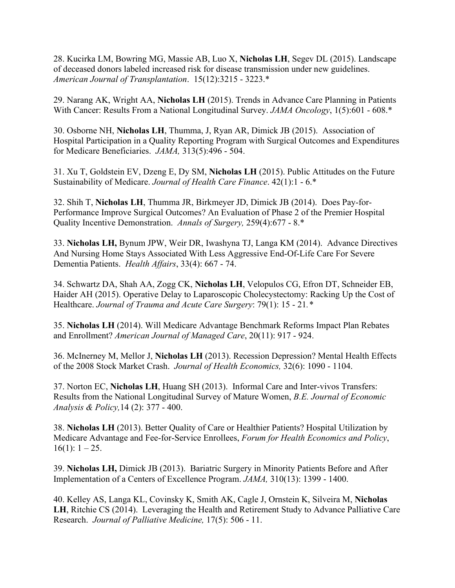28. Kucirka LM, Bowring MG, Massie AB, Luo X, **Nicholas LH**, Segev DL (2015). Landscape of deceased donors labeled increased risk for disease transmission under new guidelines. *American Journal of Transplantation*. 15(12):3215 - 3223.\*

29. Narang AK, Wright AA, **Nicholas LH** (2015). Trends in Advance Care Planning in Patients With Cancer: Results From a National Longitudinal Survey. *JAMA Oncology*, 1(5):601 - 608.\*

30. Osborne NH, **Nicholas LH**, Thumma, J, Ryan AR, Dimick JB (2015). Association of Hospital Participation in a Quality Reporting Program with Surgical Outcomes and Expenditures for Medicare Beneficiaries. *JAMA,* 313(5):496 - 504.

31. Xu T, Goldstein EV, Dzeng E, Dy SM, **Nicholas LH** (2015). Public Attitudes on the Future Sustainability of Medicare. *Journal of Health Care Finance*. 42(1):1 - 6.\*

32. Shih T, **Nicholas LH**, Thumma JR, Birkmeyer JD, Dimick JB (2014). Does Pay-for-Performance Improve Surgical Outcomes? An Evaluation of Phase 2 of the Premier Hospital Quality Incentive Demonstration. *Annals of Surgery,* 259(4):677 - 8.\*

33. **Nicholas LH,** Bynum JPW, Weir DR, Iwashyna TJ, Langa KM (2014). Advance Directives And Nursing Home Stays Associated With Less Aggressive End-Of-Life Care For Severe Dementia Patients. *Health Affairs*, 33(4): 667 - 74.

34. Schwartz DA, Shah AA, Zogg CK, **Nicholas LH**, Velopulos CG, Efron DT, Schneider EB, Haider AH (2015). Operative Delay to Laparoscopic Cholecystectomy: Racking Up the Cost of Healthcare. *Journal of Trauma and Acute Care Surgery*: 79(1): 15 - 21*.\**

35. **Nicholas LH** (2014). Will Medicare Advantage Benchmark Reforms Impact Plan Rebates and Enrollment? *American Journal of Managed Care*, 20(11): 917 - 924.

36. McInerney M, Mellor J, **Nicholas LH** (2013). Recession Depression? Mental Health Effects of the 2008 Stock Market Crash. *Journal of Health Economics,* 32(6): 1090 - 1104.

37. Norton EC, **Nicholas LH**, Huang SH (2013). Informal Care and Inter-vivos Transfers: Results from the National Longitudinal Survey of Mature Women, *B.E. Journal of Economic Analysis & Policy,*14 (2): 377 - 400.

38. **Nicholas LH** (2013). Better Quality of Care or Healthier Patients? Hospital Utilization by Medicare Advantage and Fee-for-Service Enrollees, *Forum for Health Economics and Policy*,  $16(1): 1-25.$ 

39. **Nicholas LH,** Dimick JB (2013). Bariatric Surgery in Minority Patients Before and After Implementation of a Centers of Excellence Program. *JAMA,* 310(13): 1399 - 1400.

40. Kelley AS, Langa KL, Covinsky K, Smith AK, Cagle J, Ornstein K, Silveira M, **Nicholas LH**, Ritchie CS (2014). Leveraging the Health and Retirement Study to Advance Palliative Care Research. *Journal of Palliative Medicine,* 17(5): 506 - 11.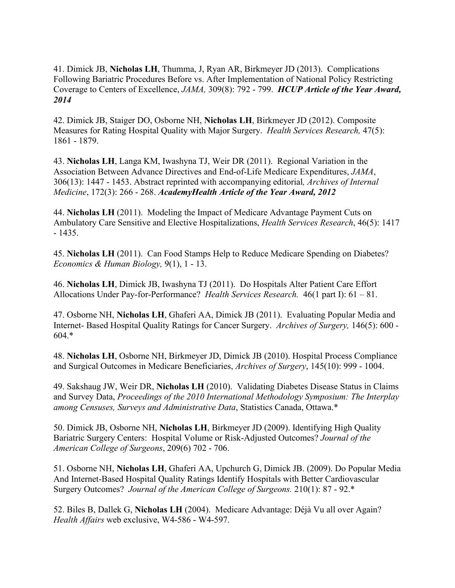41. Dimick JB, **Nicholas LH**, Thumma, J, Ryan AR, Birkmeyer JD (2013). Complications Following Bariatric Procedures Before vs. After Implementation of National Policy Restricting Coverage to Centers of Excellence, *JAMA,* 309(8): 792 - 799. *HCUP Article of the Year Award, 2014*

42. Dimick JB, Staiger DO, Osborne NH, **Nicholas LH**, Birkmeyer JD (2012). Composite Measures for Rating Hospital Quality with Major Surgery. *Health Services Research,* 47(5): 1861 - 1879.

43. **Nicholas LH**, Langa KM, Iwashyna TJ, Weir DR (2011). Regional Variation in the Association Between Advance Directives and End-of-Life Medicare Expenditures, *JAMA*, 306(13): 1447 - 1453. Abstract reprinted with accompanying editorial*, Archives of Internal Medicine*, 172(3): 266 - 268. *AcademyHealth Article of the Year Award, 2012*

44. **Nicholas LH** (2011). Modeling the Impact of Medicare Advantage Payment Cuts on Ambulatory Care Sensitive and Elective Hospitalizations, *Health Services Research*, 46(5): 1417 - 1435.

45. **Nicholas LH** (2011). Can Food Stamps Help to Reduce Medicare Spending on Diabetes? *Economics & Human Biology,* 9(1), 1 - 13.

46. **Nicholas LH**, Dimick JB, Iwashyna TJ (2011). Do Hospitals Alter Patient Care Effort Allocations Under Pay-for-Performance? *Health Services Research.* 46(1 part I): 61 – 81.

47. Osborne NH, **Nicholas LH**, Ghaferi AA, Dimick JB (2011). Evaluating Popular Media and Internet- Based Hospital Quality Ratings for Cancer Surgery. *Archives of Surgery,* 146(5): 600 - 604.\*

48. **Nicholas LH**, Osborne NH, Birkmeyer JD, Dimick JB (2010). Hospital Process Compliance and Surgical Outcomes in Medicare Beneficiaries, *Archives of Surgery*, 145(10): 999 - 1004.

49. Sakshaug JW, Weir DR, **Nicholas LH** (2010). Validating Diabetes Disease Status in Claims and Survey Data, *Proceedings of the 2010 International Methodology Symposium: The Interplay among Censuses, Surveys and Administrative Data*, Statistics Canada, Ottawa.\*

50. Dimick JB, Osborne NH, **Nicholas LH**, Birkmeyer JD (2009). Identifying High Quality Bariatric Surgery Centers: Hospital Volume or Risk-Adjusted Outcomes? *Journal of the American College of Surgeons*, 209(6) 702 - 706.

51. Osborne NH, **Nicholas LH**, Ghaferi AA, Upchurch G, Dimick JB. (2009). Do Popular Media And Internet-Based Hospital Quality Ratings Identify Hospitals with Better Cardiovascular Surgery Outcomes? *Journal of the American College of Surgeons.* 210(1): 87 - 92.\*

52. Biles B, Dallek G, **Nicholas LH** (2004). Medicare Advantage: Déjà Vu all over Again? *Health Affairs* web exclusive, W4-586 - W4-597.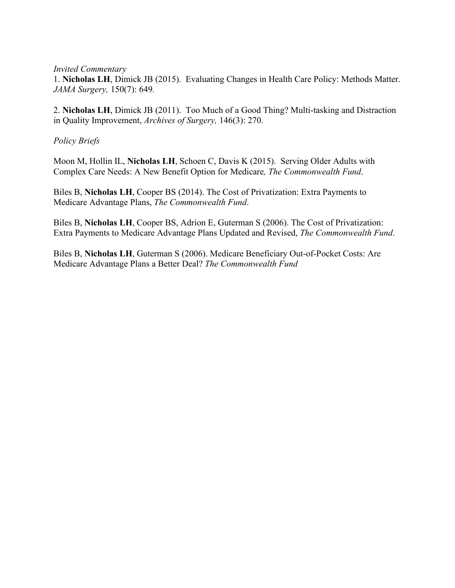*Invited Commentary*

1. **Nicholas LH**, Dimick JB (2015). Evaluating Changes in Health Care Policy: Methods Matter. *JAMA Surgery,* 150(7): 649*.*

2. **Nicholas LH**, Dimick JB (2011). Too Much of a Good Thing? Multi-tasking and Distraction in Quality Improvement, *Archives of Surgery,* 146(3): 270.

*Policy Briefs*

Moon M, Hollin IL, **Nicholas LH**, Schoen C, Davis K (2015). Serving Older Adults with Complex Care Needs: A New Benefit Option for Medicare*, The Commonwealth Fund*.

Biles B, **Nicholas LH**, Cooper BS (2014). The Cost of Privatization: Extra Payments to Medicare Advantage Plans, *The Commonwealth Fund*.

Biles B, **Nicholas LH**, Cooper BS, Adrion E, Guterman S (2006). The Cost of Privatization: Extra Payments to Medicare Advantage Plans Updated and Revised, *The Commonwealth Fund*.

Biles B, **Nicholas LH**, Guterman S (2006). Medicare Beneficiary Out-of-Pocket Costs: Are Medicare Advantage Plans a Better Deal? *The Commonwealth Fund*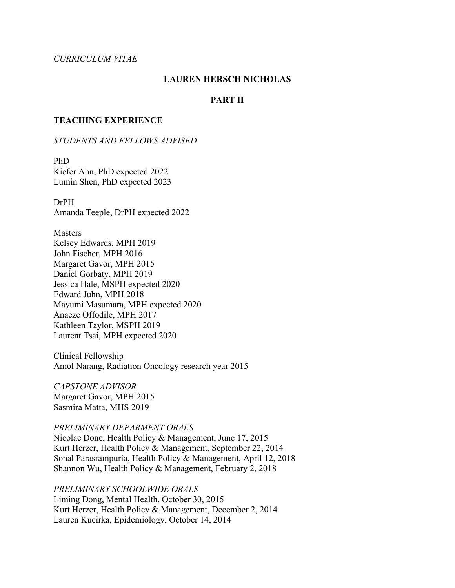### *CURRICULUM VITAE*

### **LAUREN HERSCH NICHOLAS**

### **PART II**

#### **TEACHING EXPERIENCE**

#### *STUDENTS AND FELLOWS ADVISED*

PhD Kiefer Ahn, PhD expected 2022 Lumin Shen, PhD expected 2023

DrPH Amanda Teeple, DrPH expected 2022

Masters Kelsey Edwards, MPH 2019 John Fischer, MPH 2016 Margaret Gavor, MPH 2015 Daniel Gorbaty, MPH 2019 Jessica Hale, MSPH expected 2020 Edward Juhn, MPH 2018 Mayumi Masumara, MPH expected 2020 Anaeze Offodile, MPH 2017 Kathleen Taylor, MSPH 2019 Laurent Tsai, MPH expected 2020

Clinical Fellowship Amol Narang, Radiation Oncology research year 2015

*CAPSTONE ADVISOR* Margaret Gavor, MPH 2015 Sasmira Matta, MHS 2019

#### *PRELIMINARY DEPARMENT ORALS*

Nicolae Done, Health Policy & Management, June 17, 2015 Kurt Herzer, Health Policy & Management, September 22, 2014 Sonal Parasrampuria, Health Policy & Management, April 12, 2018 Shannon Wu, Health Policy & Management, February 2, 2018

*PRELIMINARY SCHOOLWIDE ORALS* Liming Dong, Mental Health, October 30, 2015 Kurt Herzer, Health Policy & Management, December 2, 2014 Lauren Kucirka, Epidemiology, October 14, 2014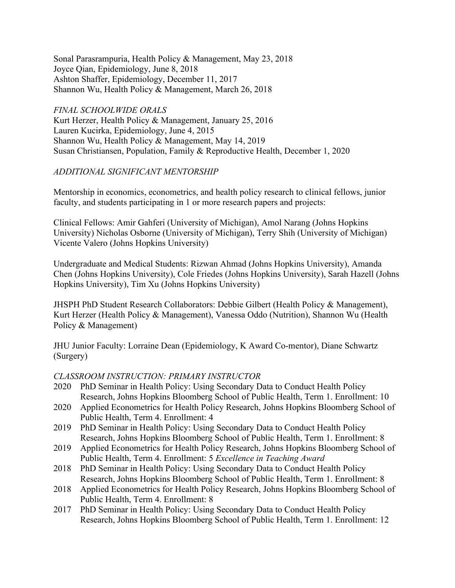Sonal Parasrampuria, Health Policy & Management, May 23, 2018 Joyce Qian, Epidemiology, June 8, 2018 Ashton Shaffer, Epidemiology, December 11, 2017 Shannon Wu, Health Policy & Management, March 26, 2018

*FINAL SCHOOLWIDE ORALS* Kurt Herzer, Health Policy & Management, January 25, 2016 Lauren Kucirka, Epidemiology, June 4, 2015 Shannon Wu, Health Policy & Management, May 14, 2019 Susan Christiansen, Population, Family & Reproductive Health, December 1, 2020

# *ADDITIONAL SIGNIFICANT MENTORSHIP*

Mentorship in economics, econometrics, and health policy research to clinical fellows, junior faculty, and students participating in 1 or more research papers and projects:

Clinical Fellows: Amir Gahferi (University of Michigan), Amol Narang (Johns Hopkins University) Nicholas Osborne (University of Michigan), Terry Shih (University of Michigan) Vicente Valero (Johns Hopkins University)

Undergraduate and Medical Students: Rizwan Ahmad (Johns Hopkins University), Amanda Chen (Johns Hopkins University), Cole Friedes (Johns Hopkins University), Sarah Hazell (Johns Hopkins University), Tim Xu (Johns Hopkins University)

JHSPH PhD Student Research Collaborators: Debbie Gilbert (Health Policy & Management), Kurt Herzer (Health Policy & Management), Vanessa Oddo (Nutrition), Shannon Wu (Health Policy & Management)

JHU Junior Faculty: Lorraine Dean (Epidemiology, K Award Co-mentor), Diane Schwartz (Surgery)

### *CLASSROOM INSTRUCTION: PRIMARY INSTRUCTOR*

- 2020 PhD Seminar in Health Policy: Using Secondary Data to Conduct Health Policy Research, Johns Hopkins Bloomberg School of Public Health, Term 1. Enrollment: 10
- 2020 Applied Econometrics for Health Policy Research, Johns Hopkins Bloomberg School of Public Health, Term 4. Enrollment: 4
- 2019 PhD Seminar in Health Policy: Using Secondary Data to Conduct Health Policy Research, Johns Hopkins Bloomberg School of Public Health, Term 1. Enrollment: 8
- 2019 Applied Econometrics for Health Policy Research, Johns Hopkins Bloomberg School of Public Health, Term 4. Enrollment: 5 *Excellence in Teaching Award*
- 2018 PhD Seminar in Health Policy: Using Secondary Data to Conduct Health Policy Research, Johns Hopkins Bloomberg School of Public Health, Term 1. Enrollment: 8
- 2018 Applied Econometrics for Health Policy Research, Johns Hopkins Bloomberg School of Public Health, Term 4. Enrollment: 8
- 2017 PhD Seminar in Health Policy: Using Secondary Data to Conduct Health Policy Research, Johns Hopkins Bloomberg School of Public Health, Term 1. Enrollment: 12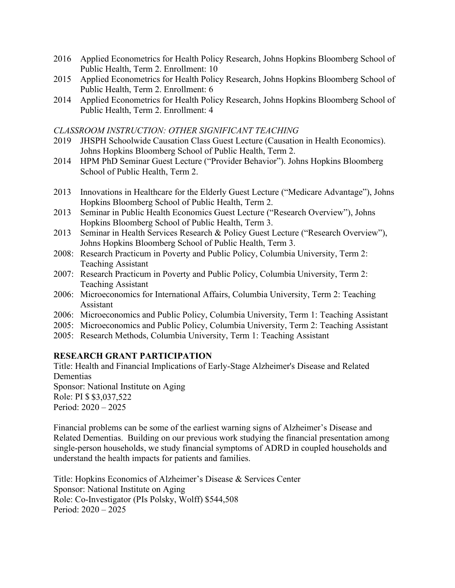- 2016 Applied Econometrics for Health Policy Research, Johns Hopkins Bloomberg School of Public Health, Term 2. Enrollment: 10
- 2015 Applied Econometrics for Health Policy Research, Johns Hopkins Bloomberg School of Public Health, Term 2. Enrollment: 6
- 2014 Applied Econometrics for Health Policy Research, Johns Hopkins Bloomberg School of Public Health, Term 2. Enrollment: 4

### *CLASSROOM INSTRUCTION: OTHER SIGNIFICANT TEACHING*

- 2019 JHSPH Schoolwide Causation Class Guest Lecture (Causation in Health Economics). Johns Hopkins Bloomberg School of Public Health, Term 2.
- 2014 HPM PhD Seminar Guest Lecture ("Provider Behavior"). Johns Hopkins Bloomberg School of Public Health, Term 2.
- 2013 Innovations in Healthcare for the Elderly Guest Lecture ("Medicare Advantage"), Johns Hopkins Bloomberg School of Public Health, Term 2.
- 2013 Seminar in Public Health Economics Guest Lecture ("Research Overview"), Johns Hopkins Bloomberg School of Public Health, Term 3.
- 2013 Seminar in Health Services Research & Policy Guest Lecture ("Research Overview"), Johns Hopkins Bloomberg School of Public Health, Term 3.
- 2008: Research Practicum in Poverty and Public Policy, Columbia University, Term 2: Teaching Assistant
- 2007: Research Practicum in Poverty and Public Policy, Columbia University, Term 2: Teaching Assistant
- 2006: Microeconomics for International Affairs, Columbia University, Term 2: Teaching Assistant
- 2006: Microeconomics and Public Policy, Columbia University, Term 1: Teaching Assistant
- 2005: Microeconomics and Public Policy, Columbia University, Term 2: Teaching Assistant
- 2005: Research Methods, Columbia University, Term 1: Teaching Assistant

# **RESEARCH GRANT PARTICIPATION**

Title: Health and Financial Implications of Early-Stage Alzheimer's Disease and Related Dementias

Sponsor: National Institute on Aging Role: PI \$ \$3,037,522

Period: 2020 – 2025

Financial problems can be some of the earliest warning signs of Alzheimer's Disease and Related Dementias. Building on our previous work studying the financial presentation among single-person households, we study financial symptoms of ADRD in coupled households and understand the health impacts for patients and families.

Title: Hopkins Economics of Alzheimer's Disease & Services Center Sponsor: National Institute on Aging Role: Co-Investigator (PIs Polsky, Wolff) \$544,508 Period: 2020 – 2025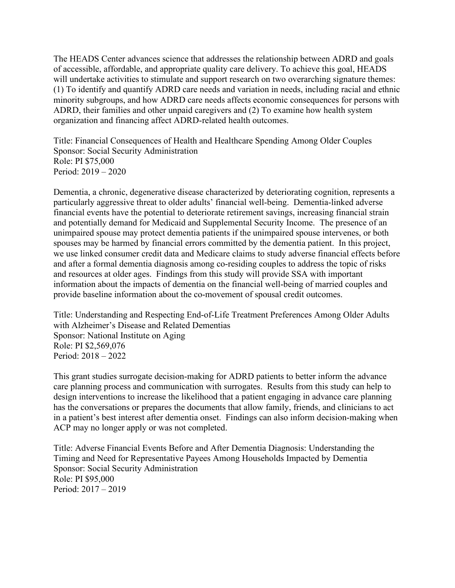The HEADS Center advances science that addresses the relationship between ADRD and goals of accessible, affordable, and appropriate quality care delivery. To achieve this goal, HEADS will undertake activities to stimulate and support research on two overarching signature themes: (1) To identify and quantify ADRD care needs and variation in needs, including racial and ethnic minority subgroups, and how ADRD care needs affects economic consequences for persons with ADRD, their families and other unpaid caregivers and (2) To examine how health system organization and financing affect ADRD-related health outcomes.

Title: Financial Consequences of Health and Healthcare Spending Among Older Couples Sponsor: Social Security Administration Role: PI \$75,000 Period: 2019 – 2020

Dementia, a chronic, degenerative disease characterized by deteriorating cognition, represents a particularly aggressive threat to older adults' financial well-being. Dementia-linked adverse financial events have the potential to deteriorate retirement savings, increasing financial strain and potentially demand for Medicaid and Supplemental Security Income. The presence of an unimpaired spouse may protect dementia patients if the unimpaired spouse intervenes, or both spouses may be harmed by financial errors committed by the dementia patient. In this project, we use linked consumer credit data and Medicare claims to study adverse financial effects before and after a formal dementia diagnosis among co-residing couples to address the topic of risks and resources at older ages. Findings from this study will provide SSA with important information about the impacts of dementia on the financial well-being of married couples and provide baseline information about the co-movement of spousal credit outcomes.

Title: Understanding and Respecting End-of-Life Treatment Preferences Among Older Adults with Alzheimer's Disease and Related Dementias Sponsor: National Institute on Aging Role: PI \$2,569,076 Period: 2018 – 2022

This grant studies surrogate decision-making for ADRD patients to better inform the advance care planning process and communication with surrogates. Results from this study can help to design interventions to increase the likelihood that a patient engaging in advance care planning has the conversations or prepares the documents that allow family, friends, and clinicians to act in a patient's best interest after dementia onset. Findings can also inform decision-making when ACP may no longer apply or was not completed.

Title: Adverse Financial Events Before and After Dementia Diagnosis: Understanding the Timing and Need for Representative Payees Among Households Impacted by Dementia Sponsor: Social Security Administration Role: PI \$95,000 Period: 2017 – 2019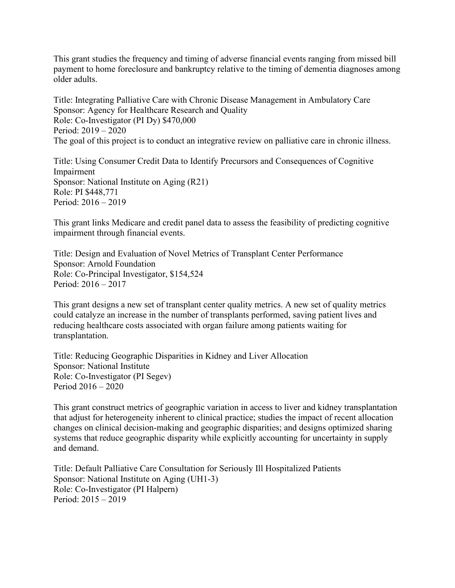This grant studies the frequency and timing of adverse financial events ranging from missed bill payment to home foreclosure and bankruptcy relative to the timing of dementia diagnoses among older adults.

Title: Integrating Palliative Care with Chronic Disease Management in Ambulatory Care Sponsor: Agency for Healthcare Research and Quality Role: Co-Investigator (PI Dy) \$470,000 Period: 2019 – 2020 The goal of this project is to conduct an integrative review on palliative care in chronic illness.

Title: Using Consumer Credit Data to Identify Precursors and Consequences of Cognitive Impairment Sponsor: National Institute on Aging (R21) Role: PI \$448,771 Period: 2016 – 2019

This grant links Medicare and credit panel data to assess the feasibility of predicting cognitive impairment through financial events.

Title: Design and Evaluation of Novel Metrics of Transplant Center Performance Sponsor: Arnold Foundation Role: Co-Principal Investigator, \$154,524 Period: 2016 – 2017

This grant designs a new set of transplant center quality metrics. A new set of quality metrics could catalyze an increase in the number of transplants performed, saving patient lives and reducing healthcare costs associated with organ failure among patients waiting for transplantation.

Title: Reducing Geographic Disparities in Kidney and Liver Allocation Sponsor: National Institute Role: Co-Investigator (PI Segev) Period 2016 – 2020

This grant construct metrics of geographic variation in access to liver and kidney transplantation that adjust for heterogeneity inherent to clinical practice; studies the impact of recent allocation changes on clinical decision-making and geographic disparities; and designs optimized sharing systems that reduce geographic disparity while explicitly accounting for uncertainty in supply and demand.

Title: Default Palliative Care Consultation for Seriously Ill Hospitalized Patients Sponsor: National Institute on Aging (UH1-3) Role: Co-Investigator (PI Halpern) Period: 2015 – 2019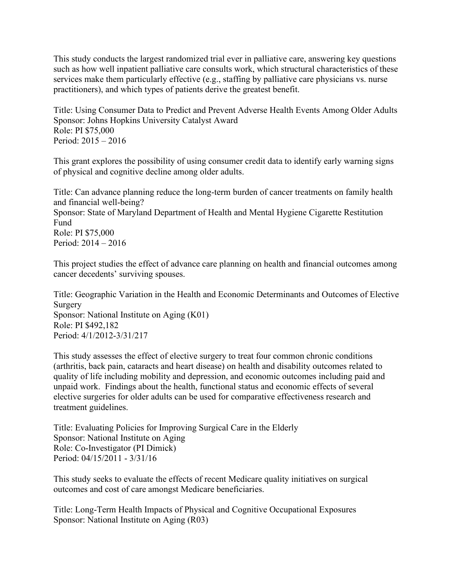This study conducts the largest randomized trial ever in palliative care, answering key questions such as how well inpatient palliative care consults work, which structural characteristics of these services make them particularly effective (e.g., staffing by palliative care physicians vs. nurse practitioners), and which types of patients derive the greatest benefit.

Title: Using Consumer Data to Predict and Prevent Adverse Health Events Among Older Adults Sponsor: Johns Hopkins University Catalyst Award Role: PI \$75,000 Period: 2015 – 2016

This grant explores the possibility of using consumer credit data to identify early warning signs of physical and cognitive decline among older adults.

Title: Can advance planning reduce the long-term burden of cancer treatments on family health and financial well-being? Sponsor: State of Maryland Department of Health and Mental Hygiene Cigarette Restitution Fund

Role: PI \$75,000 Period: 2014 – 2016

This project studies the effect of advance care planning on health and financial outcomes among cancer decedents' surviving spouses.

Title: Geographic Variation in the Health and Economic Determinants and Outcomes of Elective Surgery Sponsor: National Institute on Aging (K01) Role: PI \$492,182

Period: 4/1/2012-3/31/217

This study assesses the effect of elective surgery to treat four common chronic conditions (arthritis, back pain, cataracts and heart disease) on health and disability outcomes related to quality of life including mobility and depression, and economic outcomes including paid and unpaid work. Findings about the health, functional status and economic effects of several elective surgeries for older adults can be used for comparative effectiveness research and treatment guidelines.

Title: Evaluating Policies for Improving Surgical Care in the Elderly Sponsor: National Institute on Aging Role: Co-Investigator (PI Dimick) Period: 04/15/2011 - 3/31/16

This study seeks to evaluate the effects of recent Medicare quality initiatives on surgical outcomes and cost of care amongst Medicare beneficiaries.

Title: Long-Term Health Impacts of Physical and Cognitive Occupational Exposures Sponsor: National Institute on Aging (R03)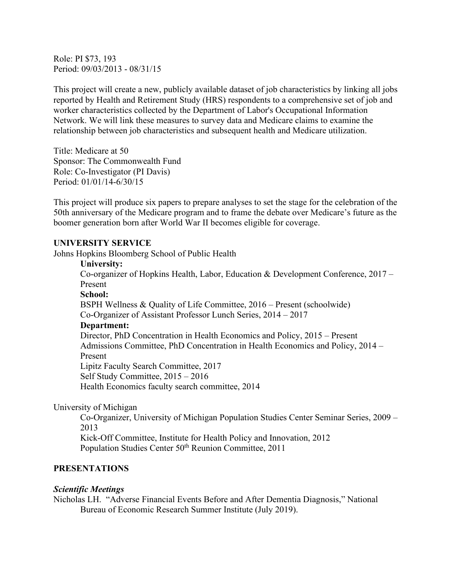Role: PI \$73, 193 Period: 09/03/2013 - 08/31/15

This project will create a new, publicly available dataset of job characteristics by linking all jobs reported by Health and Retirement Study (HRS) respondents to a comprehensive set of job and worker characteristics collected by the Department of Labor's Occupational Information Network. We will link these measures to survey data and Medicare claims to examine the relationship between job characteristics and subsequent health and Medicare utilization.

Title: Medicare at 50 Sponsor: The Commonwealth Fund Role: Co-Investigator (PI Davis) Period: 01/01/14-6/30/15

This project will produce six papers to prepare analyses to set the stage for the celebration of the 50th anniversary of the Medicare program and to frame the debate over Medicare's future as the boomer generation born after World War II becomes eligible for coverage.

#### **UNIVERSITY SERVICE**

Johns Hopkins Bloomberg School of Public Health

#### **University:**

Co-organizer of Hopkins Health, Labor, Education & Development Conference, 2017 – Present **School:** BSPH Wellness & Quality of Life Committee, 2016 – Present (schoolwide) Co-Organizer of Assistant Professor Lunch Series, 2014 – 2017 **Department:** Director, PhD Concentration in Health Economics and Policy, 2015 – Present Admissions Committee, PhD Concentration in Health Economics and Policy, 2014 – Present Lipitz Faculty Search Committee, 2017 Self Study Committee, 2015 – 2016 Health Economics faculty search committee, 2014

#### University of Michigan

Co-Organizer, University of Michigan Population Studies Center Seminar Series, 2009 – 2013

Kick-Off Committee, Institute for Health Policy and Innovation, 2012 Population Studies Center 50<sup>th</sup> Reunion Committee, 2011

#### **PRESENTATIONS**

#### *Scientific Meetings*

Nicholas LH. "Adverse Financial Events Before and After Dementia Diagnosis," National Bureau of Economic Research Summer Institute (July 2019).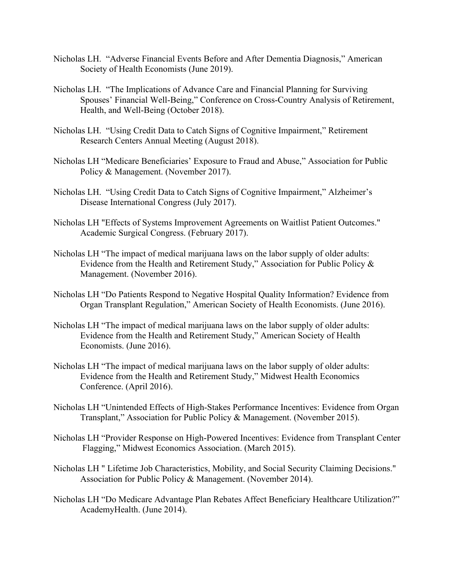- Nicholas LH. "Adverse Financial Events Before and After Dementia Diagnosis," American Society of Health Economists (June 2019).
- Nicholas LH. "The Implications of Advance Care and Financial Planning for Surviving Spouses' Financial Well-Being," Conference on Cross-Country Analysis of Retirement, Health, and Well-Being (October 2018).
- Nicholas LH. "Using Credit Data to Catch Signs of Cognitive Impairment," Retirement Research Centers Annual Meeting (August 2018).
- Nicholas LH "Medicare Beneficiaries' Exposure to Fraud and Abuse," Association for Public Policy & Management. (November 2017).
- Nicholas LH. "Using Credit Data to Catch Signs of Cognitive Impairment," Alzheimer's Disease International Congress (July 2017).
- Nicholas LH "Effects of Systems Improvement Agreements on Waitlist Patient Outcomes." Academic Surgical Congress. (February 2017).
- Nicholas LH "The impact of medical marijuana laws on the labor supply of older adults: Evidence from the Health and Retirement Study," Association for Public Policy & Management. (November 2016).
- Nicholas LH "Do Patients Respond to Negative Hospital Quality Information? Evidence from Organ Transplant Regulation," American Society of Health Economists. (June 2016).
- Nicholas LH "The impact of medical marijuana laws on the labor supply of older adults: Evidence from the Health and Retirement Study," American Society of Health Economists. (June 2016).
- Nicholas LH "The impact of medical marijuana laws on the labor supply of older adults: Evidence from the Health and Retirement Study," Midwest Health Economics Conference. (April 2016).
- Nicholas LH "Unintended Effects of High-Stakes Performance Incentives: Evidence from Organ Transplant," Association for Public Policy & Management. (November 2015).
- Nicholas LH "Provider Response on High-Powered Incentives: Evidence from Transplant Center Flagging," Midwest Economics Association. (March 2015).
- Nicholas LH " Lifetime Job Characteristics, Mobility, and Social Security Claiming Decisions." Association for Public Policy & Management. (November 2014).
- Nicholas LH "Do Medicare Advantage Plan Rebates Affect Beneficiary Healthcare Utilization?" AcademyHealth. (June 2014).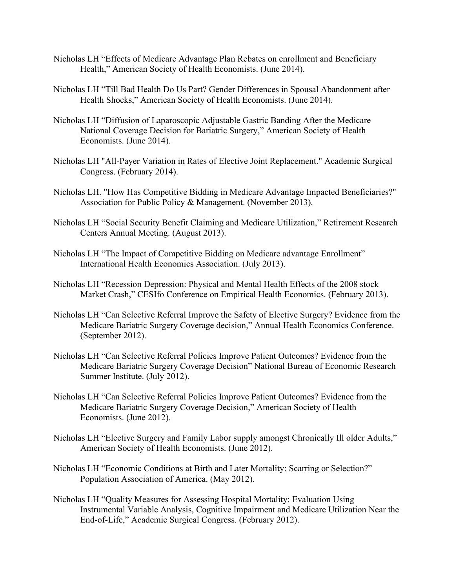- Nicholas LH "Effects of Medicare Advantage Plan Rebates on enrollment and Beneficiary Health," American Society of Health Economists. (June 2014).
- Nicholas LH "Till Bad Health Do Us Part? Gender Differences in Spousal Abandonment after Health Shocks," American Society of Health Economists. (June 2014).
- Nicholas LH "Diffusion of Laparoscopic Adjustable Gastric Banding After the Medicare National Coverage Decision for Bariatric Surgery," American Society of Health Economists. (June 2014).
- Nicholas LH "All-Payer Variation in Rates of Elective Joint Replacement." Academic Surgical Congress. (February 2014).
- Nicholas LH. "How Has Competitive Bidding in Medicare Advantage Impacted Beneficiaries?" Association for Public Policy & Management. (November 2013).
- Nicholas LH "Social Security Benefit Claiming and Medicare Utilization," Retirement Research Centers Annual Meeting. (August 2013).
- Nicholas LH "The Impact of Competitive Bidding on Medicare advantage Enrollment" International Health Economics Association. (July 2013).
- Nicholas LH "Recession Depression: Physical and Mental Health Effects of the 2008 stock Market Crash," CESIfo Conference on Empirical Health Economics. (February 2013).
- Nicholas LH "Can Selective Referral Improve the Safety of Elective Surgery? Evidence from the Medicare Bariatric Surgery Coverage decision," Annual Health Economics Conference. (September 2012).
- Nicholas LH "Can Selective Referral Policies Improve Patient Outcomes? Evidence from the Medicare Bariatric Surgery Coverage Decision" National Bureau of Economic Research Summer Institute. (July 2012).
- Nicholas LH "Can Selective Referral Policies Improve Patient Outcomes? Evidence from the Medicare Bariatric Surgery Coverage Decision," American Society of Health Economists. (June 2012).
- Nicholas LH "Elective Surgery and Family Labor supply amongst Chronically Ill older Adults," American Society of Health Economists. (June 2012).
- Nicholas LH "Economic Conditions at Birth and Later Mortality: Scarring or Selection?" Population Association of America. (May 2012).
- Nicholas LH "Quality Measures for Assessing Hospital Mortality: Evaluation Using Instrumental Variable Analysis, Cognitive Impairment and Medicare Utilization Near the End-of-Life," Academic Surgical Congress. (February 2012).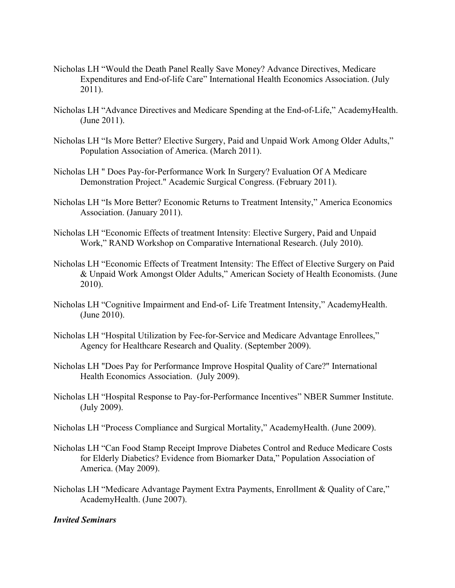- Nicholas LH "Would the Death Panel Really Save Money? Advance Directives, Medicare Expenditures and End-of-life Care" International Health Economics Association. (July 2011).
- Nicholas LH "Advance Directives and Medicare Spending at the End-of-Life," AcademyHealth. (June 2011).
- Nicholas LH "Is More Better? Elective Surgery, Paid and Unpaid Work Among Older Adults," Population Association of America. (March 2011).
- Nicholas LH " Does Pay-for-Performance Work In Surgery? Evaluation Of A Medicare Demonstration Project." Academic Surgical Congress. (February 2011).
- Nicholas LH "Is More Better? Economic Returns to Treatment Intensity," America Economics Association. (January 2011).
- Nicholas LH "Economic Effects of treatment Intensity: Elective Surgery, Paid and Unpaid Work," RAND Workshop on Comparative International Research. (July 2010).
- Nicholas LH "Economic Effects of Treatment Intensity: The Effect of Elective Surgery on Paid & Unpaid Work Amongst Older Adults," American Society of Health Economists. (June 2010).
- Nicholas LH "Cognitive Impairment and End-of- Life Treatment Intensity," AcademyHealth. (June 2010).
- Nicholas LH "Hospital Utilization by Fee-for-Service and Medicare Advantage Enrollees," Agency for Healthcare Research and Quality. (September 2009).
- Nicholas LH "Does Pay for Performance Improve Hospital Quality of Care?" International Health Economics Association. (July 2009).
- Nicholas LH ["Hospital Response to Pay-for-Performance Incentives"](http://www.nber.org/confer/2009/SI2009/HC/Nicholas.pdf) NBER Summer Institute. (July 2009).
- Nicholas LH "Process Compliance and Surgical Mortality," AcademyHealth. (June 2009).
- Nicholas LH "Can Food Stamp Receipt Improve Diabetes Control and Reduce Medicare Costs for Elderly Diabetics? Evidence from Biomarker Data," Population Association of America. (May 2009).
- Nicholas LH "Medicare Advantage Payment Extra Payments, Enrollment & Quality of Care," AcademyHealth. (June 2007).

#### *Invited Seminars*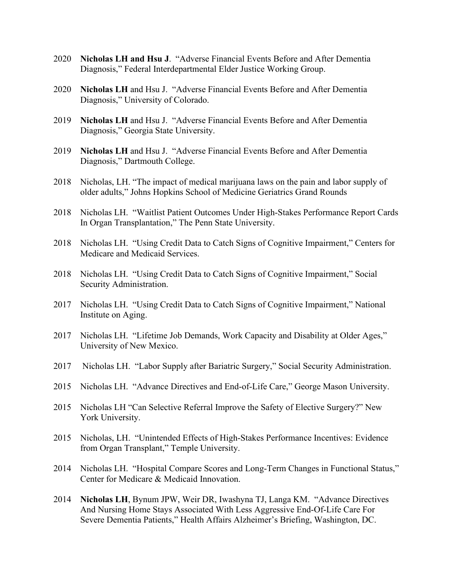- 2020 **Nicholas LH and Hsu J**. "Adverse Financial Events Before and After Dementia Diagnosis," Federal Interdepartmental Elder Justice Working Group.
- 2020 **Nicholas LH** and Hsu J. "Adverse Financial Events Before and After Dementia Diagnosis," University of Colorado.
- 2019 **Nicholas LH** and Hsu J. "Adverse Financial Events Before and After Dementia Diagnosis," Georgia State University.
- 2019 **Nicholas LH** and Hsu J. "Adverse Financial Events Before and After Dementia Diagnosis," Dartmouth College.
- 2018 Nicholas, LH. "The impact of medical marijuana laws on the pain and labor supply of older adults," Johns Hopkins School of Medicine Geriatrics Grand Rounds
- 2018 Nicholas LH. "Waitlist Patient Outcomes Under High-Stakes Performance Report Cards In Organ Transplantation," The Penn State University.
- 2018 Nicholas LH. "Using Credit Data to Catch Signs of Cognitive Impairment," Centers for Medicare and Medicaid Services.
- 2018 Nicholas LH. "Using Credit Data to Catch Signs of Cognitive Impairment," Social Security Administration.
- 2017 Nicholas LH. "Using Credit Data to Catch Signs of Cognitive Impairment," National Institute on Aging.
- 2017 Nicholas LH. "Lifetime Job Demands, Work Capacity and Disability at Older Ages," University of New Mexico.
- 2017 Nicholas LH. "Labor Supply after Bariatric Surgery," Social Security Administration.
- 2015 Nicholas LH. "Advance Directives and End-of-Life Care," George Mason University.
- 2015 Nicholas LH "Can Selective Referral Improve the Safety of Elective Surgery?" New York University.
- 2015 Nicholas, LH. "Unintended Effects of High-Stakes Performance Incentives: Evidence from Organ Transplant," Temple University.
- 2014 Nicholas LH. "Hospital Compare Scores and Long-Term Changes in Functional Status," Center for Medicare & Medicaid Innovation.
- 2014 **Nicholas LH**, Bynum JPW, Weir DR, Iwashyna TJ, Langa KM. "Advance Directives And Nursing Home Stays Associated With Less Aggressive End-Of-Life Care For Severe Dementia Patients," Health Affairs Alzheimer's Briefing, Washington, DC.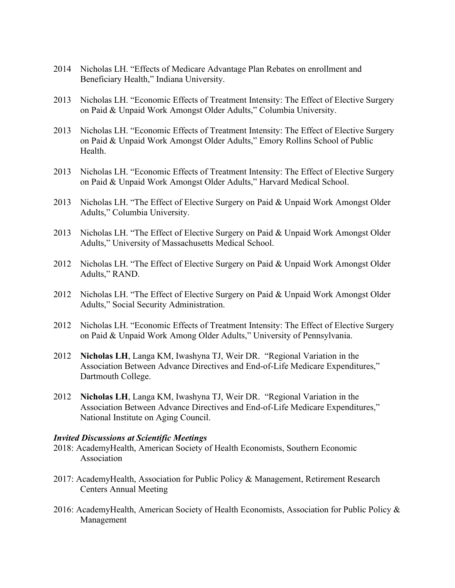- 2014 Nicholas LH. "Effects of Medicare Advantage Plan Rebates on enrollment and Beneficiary Health," Indiana University.
- 2013 Nicholas LH. "Economic Effects of Treatment Intensity: The Effect of Elective Surgery on Paid & Unpaid Work Amongst Older Adults," Columbia University.
- 2013 Nicholas LH. "Economic Effects of Treatment Intensity: The Effect of Elective Surgery on Paid & Unpaid Work Amongst Older Adults," Emory Rollins School of Public Health.
- 2013 Nicholas LH. "Economic Effects of Treatment Intensity: The Effect of Elective Surgery on Paid & Unpaid Work Amongst Older Adults," Harvard Medical School.
- 2013 Nicholas LH. "The Effect of Elective Surgery on Paid & Unpaid Work Amongst Older Adults," Columbia University.
- 2013 Nicholas LH. "The Effect of Elective Surgery on Paid & Unpaid Work Amongst Older Adults," University of Massachusetts Medical School.
- 2012 Nicholas LH. "The Effect of Elective Surgery on Paid & Unpaid Work Amongst Older Adults," RAND.
- 2012 Nicholas LH. "The Effect of Elective Surgery on Paid & Unpaid Work Amongst Older Adults," Social Security Administration.
- 2012 Nicholas LH. "Economic Effects of Treatment Intensity: The Effect of Elective Surgery on Paid & Unpaid Work Among Older Adults," University of Pennsylvania.
- 2012 **Nicholas LH**, Langa KM, Iwashyna TJ, Weir DR. "Regional Variation in the Association Between Advance Directives and End-of-Life Medicare Expenditures," Dartmouth College.
- 2012 **Nicholas LH**, Langa KM, Iwashyna TJ, Weir DR. "Regional Variation in the Association Between Advance Directives and End-of-Life Medicare Expenditures," National Institute on Aging Council.

#### *Invited Discussions at Scientific Meetings*

- 2018: AcademyHealth, American Society of Health Economists, Southern Economic Association
- 2017: AcademyHealth, Association for Public Policy & Management, Retirement Research Centers Annual Meeting
- 2016: AcademyHealth, American Society of Health Economists, Association for Public Policy & Management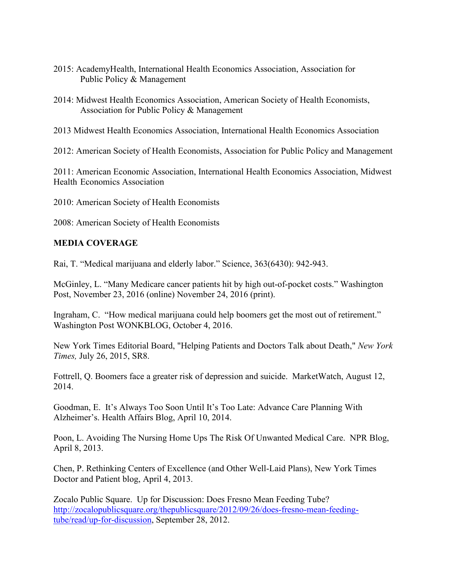- 2015: AcademyHealth, International Health Economics Association, Association for Public Policy & Management
- 2014: Midwest Health Economics Association, American Society of Health Economists, Association for Public Policy & Management
- 2013 Midwest Health Economics Association, International Health Economics Association

2012: American Society of Health Economists, Association for Public Policy and Management

2011: American Economic Association, International Health Economics Association, Midwest Health Economics Association

2010: American Society of Health Economists

2008: American Society of Health Economists

# **MEDIA COVERAGE**

Rai, T. "Medical marijuana and elderly labor." Science, 363(6430): 942-943.

McGinley, L. "Many Medicare cancer patients hit by high out-of-pocket costs." Washington Post, November 23, 2016 (online) November 24, 2016 (print).

Ingraham, C. "How medical marijuana could help boomers get the most out of retirement." Washington Post WONKBLOG, October 4, 2016.

New York Times Editorial Board, "Helping Patients and Doctors Talk about Death," *New York Times,* July 26, 2015, SR8.

Fottrell, Q. Boomers face a greater risk of depression and suicide. MarketWatch, August 12, 2014.

Goodman, E. It's Always Too Soon Until It's Too Late: Advance Care Planning With Alzheimer's. Health Affairs Blog, April 10, 2014.

Poon, L. Avoiding The Nursing Home Ups The Risk Of Unwanted Medical Care. NPR Blog, April 8, 2013.

Chen, P. Rethinking Centers of Excellence (and Other Well-Laid Plans), New York Times Doctor and Patient blog, April 4, 2013.

Zocalo Public Square. Up for Discussion: Does Fresno Mean Feeding Tube? [http://zocalopublicsquare.org/thepublicsquare/2012/09/26/does-fresno-mean-feeding](http://zocalopublicsquare.org/thepublicsquare/2012/09/26/does-fresno-mean-feeding-tube/read/up-for-discussion)[tube/read/up-for-discussion,](http://zocalopublicsquare.org/thepublicsquare/2012/09/26/does-fresno-mean-feeding-tube/read/up-for-discussion) September 28, 2012.